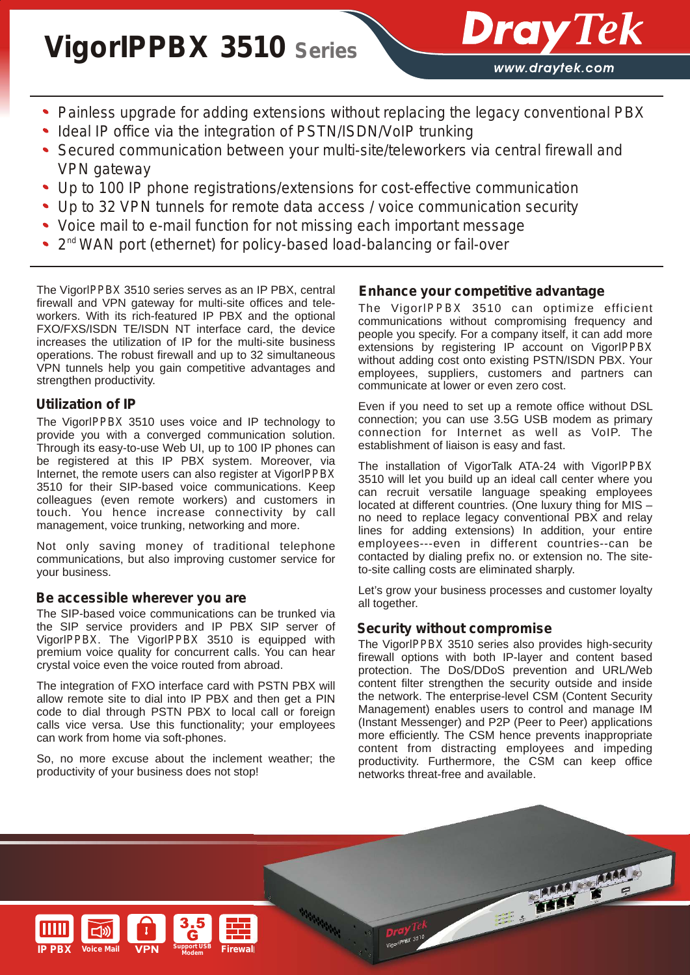# **Vigor***IPPBX* **3510 Series**

www.draytek.com

**Dray** Tek

- *Painless upgrade for adding extensions without replacing the legacy conventional PBX*
- *Ideal IP office via the integration of PSTN/ISDN/VoIP trunking*
- *Secured communication between your multi-site/teleworkers via central firewall and VPN gateway*
- *Up to 100 IP phone registrations/extensions for cost-effective communication*
- *Up to 32 VPN tunnels for remote data access / voice communication security*
- *Voice mail to e-mail function for not missing each important message*
- 2<sup>nd</sup> WAN port (ethernet) for policy-based load-balancing or fail-over

The Vigor*IPPBX* 3510 series serves as an IP PBX, central firewall and VPN gateway for multi-site offices and teleworkers. With its rich-featured IP PBX and the optional FXO/FXS/ISDN TE/ISDN NT interface card, the device increases the utilization of IP for the multi-site business operations. The robust firewall and up to 32 simultaneous VPN tunnels help you gain competitive advantages and strengthen productivity.

# *Utilization of IP*

The Vigor*IPPBX* 3510 uses voice and IP technology to provide you with a converged communication solution. Through its easy-to-use Web UI, up to 100 IP phones can be registered at this IP PBX system. Moreover, via Internet, the remote users can also register at Vigor*IPPBX* 3510 for their SIP-based voice communications. Keep colleagues (even remote workers) and customers in touch. You hence increase connectivity by call management, voice trunking, networking and more.

Not only saving money of traditional telephone communications, but also improving customer service for your business.

# *Be accessible wherever you are*

The SIP-based voice communications can be trunked via the SIP service providers and IP PBX SIP server of Vigor*IPPBX*. The Vigor*IPPBX* 3510 is equipped with premium voice quality for concurrent calls. You can hear crystal voice even the voice routed from abroad.

The integration of FXO interface card with PSTN PBX will allow remote site to dial into IP PBX and then get a PIN code to dial through PSTN PBX to local call or foreign calls vice versa. Use this functionality; your employees can work from home via soft-phones.

So, no more excuse about the inclement weather; the productivity of your business does not stop!

# *Enhance your competitive advantage*

The Vigor*IPPBX* 3510 can optimize efficient communications without compromising frequency and people you specify. For a company itself, it can add more extensions by registering IP account on Vigor*IPPBX* without adding cost onto existing PSTN/ISDN PBX. Your employees, suppliers, customers and partners can communicate at lower or even zero cost.

Even if you need to set up a remote office without DSL connection; you can use 3.5G USB modem as primary connection for Internet as well as VoIP. The establishment of liaison is easy and fast.

The installation of VigorTalk ATA-24 with Vigor*IPPBX* 3510 will let you build up an ideal call center where you can recruit versatile language speaking employees located at different countries. (One luxury thing for MIS no need to replace legacy conventional PBX and relay lines for adding extensions) In addition, your entire employees---even in different countries--can be contacted by dialing prefix no. or extension no. The siteto-site calling costs are eliminated sharply.

Let's grow your business processes and customer loyalty all together.

# *Security without compromise*

The Vigor*IPPBX* 3510 series also provides high-security firewall options with both IP-layer and content based protection. The DoS/DDoS prevention and URL/Web content filter strengthen the security outside and inside the network. The enterprise-level CSM (Content Security Management) enables users to control and manage IM (Instant Messenger) and P2P (Peer to Peer) applications more efficiently. The CSM hence prevents inappropriate content from distracting employees and impeding productivity. Furthermore, the CSM can keep office networks threat-free and available.

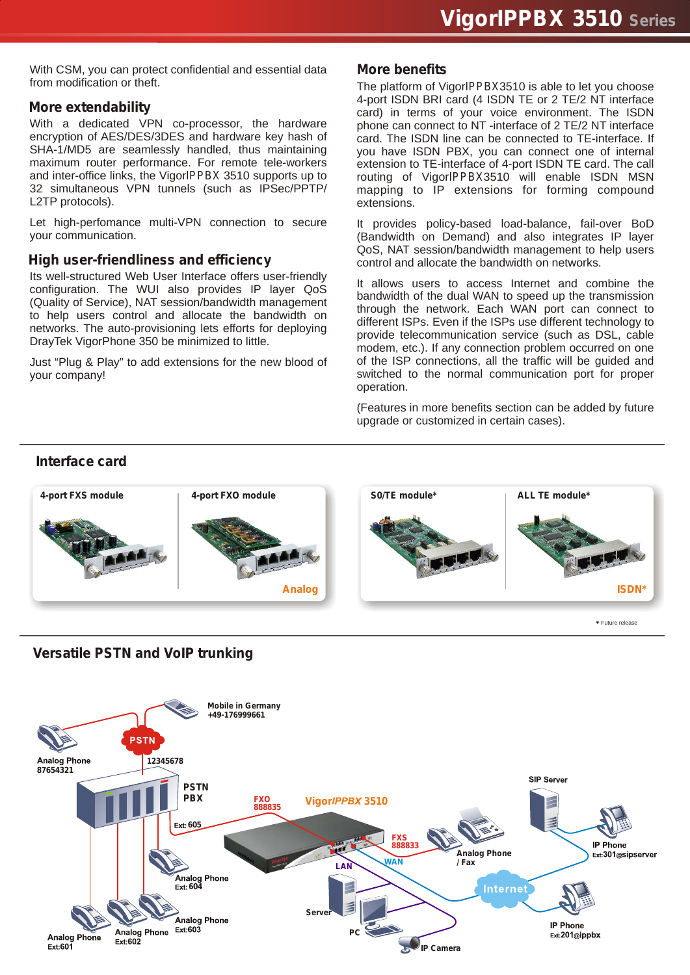With CSM, you can protect confidential and essential data from modification or theft.

#### *More extendability*

With a dedicated VPN co-processor, the hardware encryption of AES/DES/3DES and hardware key hash of SHA-1/MD5 are seamlessly handled, thus maintaining maximum router performance. For remote tele-workers and inter-office links, the Vigor*IPPBX* 3510 supports up to 32 simultaneous VPN tunnels (such as IPSec/PPTP/ L2TP protocols).

Let high-perfomance multi-VPN connection to secure your communication.

#### *High user-friendliness and efficiency*

Its well-structured Web User Interface offers user-friendly configuration. The WUI also provides IP layer QoS (Quality of Service), NAT session/bandwidth management to help users control and allocate the bandwidth on networks. The auto-provisioning lets efforts for deploying DrayTek VigorPhone 350 be minimized to little.

Just "Plug & Play" to add extensions for the new blood of your company!

#### *More benefits*

The platform of Vigor*IPPBX*3510 is able to let you choose 4-port ISDN BRI card (4 ISDN TE or 2 TE/2 NT interface card) in terms of your voice environment. The ISDN phone can connect to NT -interface of 2 TE/2 NT interface card. The ISDN line can be connected to TE-interface. If you have ISDN PBX, you can connect one of internal extension to TE-interface of 4-port ISDN TE card. The call routing of Vigor*IPPBX*3510 will enable ISDN MSN mapping to IP extensions for forming compound extensions.

It provides policy-based load-balance, fail-over BoD (Bandwidth on Demand) and also integrates IP layer QoS, NAT session/bandwidth management to help users control and allocate the bandwidth on networks.

It allows users to access Internet and combine the bandwidth of the dual WAN to speed up the transmission through the network. Each WAN port can connect to different ISPs. Even if the ISPs use different technology to provide telecommunication service (such as DSL, cable modem, etc.). If any connection problem occurred on one of the ISP connections, all the traffic will be guided and switched to the normal communication port for proper operation.

(Features in more benefits section can be added by future upgrade or customized in certain cases).

#### *Interface card*



Future release



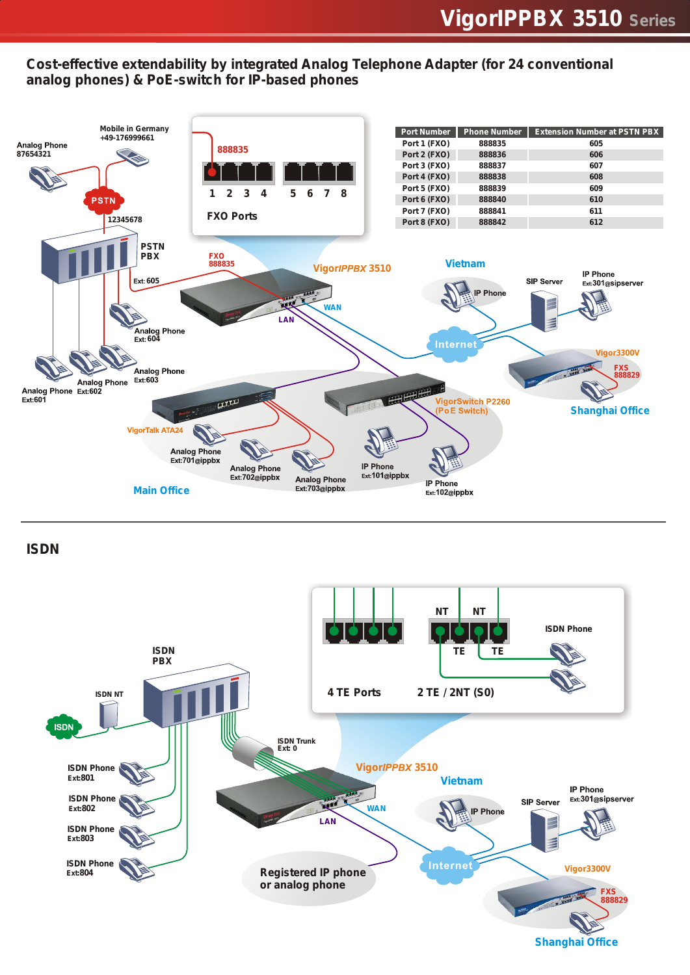# *Cost-effective extendability by integrated Analog Telephone Adapter (for 24 conventional analog phones) & PoE-switch for IP-based phones*



*ISDN*



**Shanghai Office**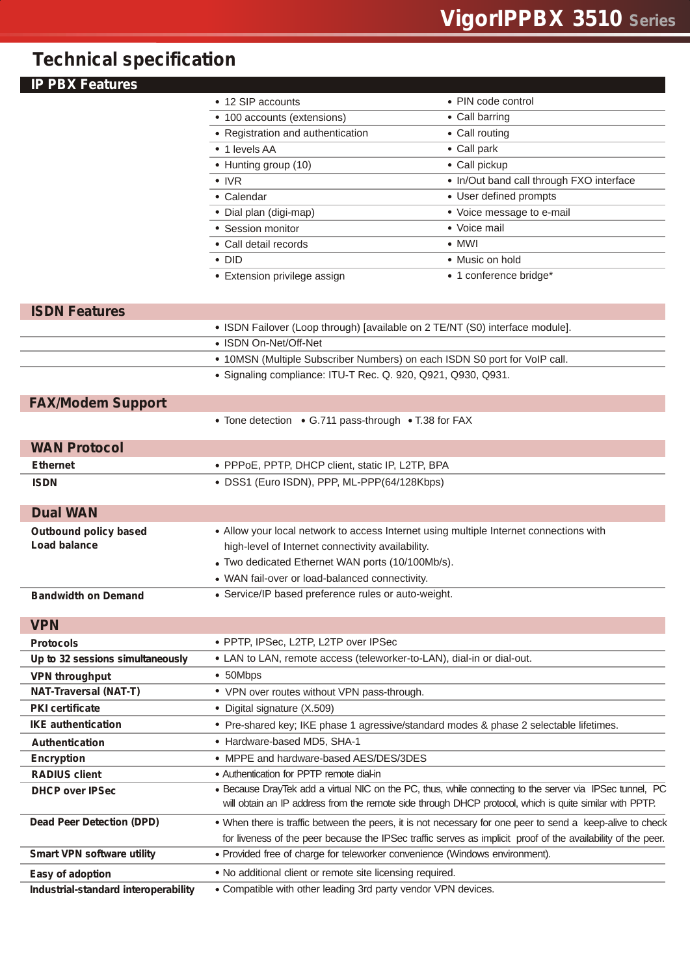# *Technical specification*

| <b>PBX Features</b>                  |                                                                                        |                                                                                                              |
|--------------------------------------|----------------------------------------------------------------------------------------|--------------------------------------------------------------------------------------------------------------|
|                                      | • 12 SIP accounts                                                                      | • PIN code control                                                                                           |
|                                      | • 100 accounts (extensions)                                                            | • Call barring                                                                                               |
|                                      | • Registration and authentication                                                      | • Call routing                                                                                               |
|                                      | • 1 levels AA                                                                          | • Call park                                                                                                  |
|                                      | • Hunting group (10)                                                                   | • Call pickup                                                                                                |
|                                      | $\bullet$ IVR                                                                          | • In/Out band call through FXO interface                                                                     |
|                                      | • Calendar                                                                             | • User defined prompts                                                                                       |
|                                      | • Dial plan (digi-map)                                                                 | • Voice message to e-mail                                                                                    |
|                                      | • Session monitor                                                                      | • Voice mail                                                                                                 |
|                                      | • Call detail records                                                                  | $\bullet$ MWI                                                                                                |
|                                      | $\cdot$ DID                                                                            | • Music on hold                                                                                              |
|                                      | • Extension privilege assign                                                           | • 1 conference bridge*                                                                                       |
| <b>ISDN Features</b>                 |                                                                                        |                                                                                                              |
|                                      | • ISDN Failover (Loop through) [available on 2 TE/NT (S0) interface module].           |                                                                                                              |
|                                      | • ISDN On-Net/Off-Net                                                                  |                                                                                                              |
|                                      | • 10MSN (Multiple Subscriber Numbers) on each ISDN S0 port for VoIP call.              |                                                                                                              |
|                                      | • Signaling compliance: ITU-T Rec. Q. 920, Q921, Q930, Q931.                           |                                                                                                              |
| <b>FAX/Modem Support</b>             |                                                                                        |                                                                                                              |
|                                      | • Tone detection • G.711 pass-through • T.38 for FAX                                   |                                                                                                              |
| <b>WAN Protocol</b>                  |                                                                                        |                                                                                                              |
| <b>Ethernet</b>                      | • PPPoE, PPTP, DHCP client, static IP, L2TP, BPA                                       |                                                                                                              |
| <b>ISDN</b>                          | • DSS1 (Euro ISDN), PPP, ML-PPP(64/128Kbps)                                            |                                                                                                              |
| <b>Dual WAN</b>                      |                                                                                        |                                                                                                              |
| <b>Outbound policy based</b>         | • Allow your local network to access Internet using multiple Internet connections with |                                                                                                              |
| <b>Load balance</b>                  | high-level of Internet connectivity availability.                                      |                                                                                                              |
|                                      | • Two dedicated Ethernet WAN ports (10/100Mb/s).                                       |                                                                                                              |
|                                      | • WAN fail-over or load-balanced connectivity.                                         |                                                                                                              |
| <b>Bandwidth on Demand</b>           | • Service/IP based preference rules or auto-weight.                                    |                                                                                                              |
| <b>VPN</b>                           |                                                                                        |                                                                                                              |
| <b>Protocols</b>                     | • PPTP, IPSec, L2TP, L2TP over IPSec                                                   |                                                                                                              |
| Up to 32 sessions simultaneously     | • LAN to LAN, remote access (teleworker-to-LAN), dial-in or dial-out.                  |                                                                                                              |
| <b>VPN throughput</b>                | • 50Mbps                                                                               |                                                                                                              |
| <b>NAT-Traversal (NAT-T)</b>         | • VPN over routes without VPN pass-through.                                            |                                                                                                              |
| <b>PKI</b> certificate               | • Digital signature (X.509)                                                            |                                                                                                              |
| <b>IKE</b> authentication            | • Pre-shared key; IKE phase 1 agressive/standard modes & phase 2 selectable lifetimes. |                                                                                                              |
| <b>Authentication</b>                | • Hardware-based MD5, SHA-1                                                            |                                                                                                              |
| <b>Encryption</b>                    | • MPPE and hardware-based AES/DES/3DES                                                 |                                                                                                              |
| <b>RADIUS client</b>                 | • Authentication for PPTP remote dial-in                                               |                                                                                                              |
| <b>DHCP over IPSec</b>               |                                                                                        | . Because DrayTek add a virtual NIC on the PC, thus, while connecting to the server via IPSec tunnel, PC     |
|                                      |                                                                                        | will obtain an IP address from the remote side through DHCP protocol, which is quite similar with PPTP.      |
| <b>Dead Peer Detection (DPD)</b>     |                                                                                        | • When there is traffic between the peers, it is not necessary for one peer to send a keep-alive to check    |
|                                      |                                                                                        | for liveness of the peer because the IPSec traffic serves as implicit proof of the availability of the peer. |
| <b>Smart VPN software utility</b>    | • Provided free of charge for teleworker convenience (Windows environment).            |                                                                                                              |
| Easy of adoption                     | . No additional client or remote site licensing required.                              |                                                                                                              |
| Industrial-standard interoperability | • Compatible with other leading 3rd party vendor VPN devices.                          |                                                                                                              |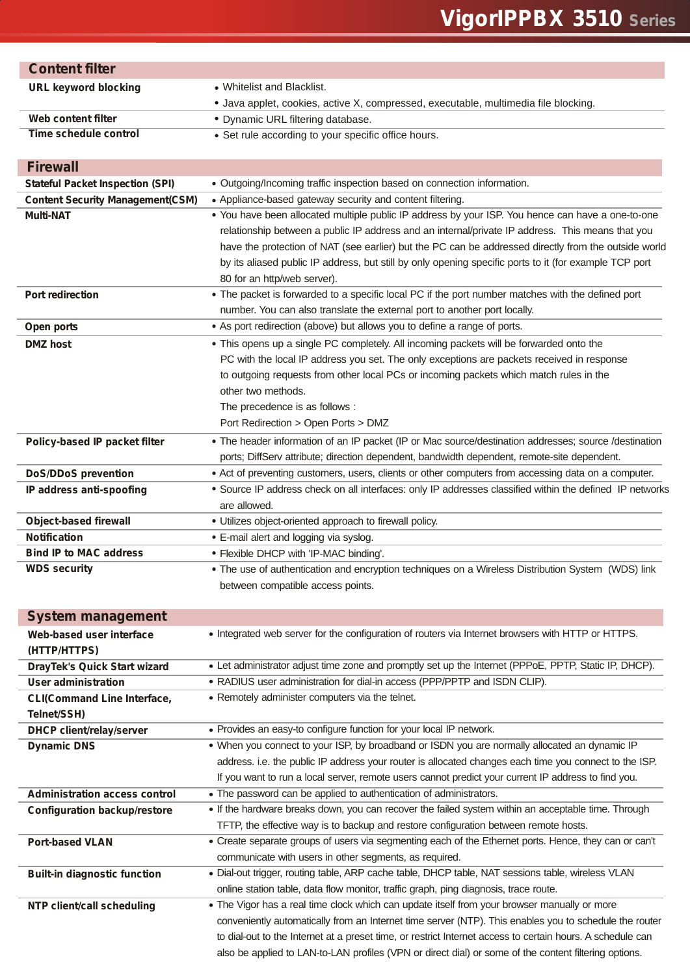# **Vigor***IPPBX* **3510 Series**

| <b>Content filter</b>                                            |                                                                                                                                                                                    |
|------------------------------------------------------------------|------------------------------------------------------------------------------------------------------------------------------------------------------------------------------------|
| <b>URL keyword blocking</b>                                      | • Whitelist and Blacklist.                                                                                                                                                         |
|                                                                  | • Java applet, cookies, active X, compressed, executable, multimedia file blocking.                                                                                                |
| Web content filter                                               | • Dynamic URL filtering database.                                                                                                                                                  |
| <b>Time schedule control</b>                                     | • Set rule according to your specific office hours.                                                                                                                                |
|                                                                  |                                                                                                                                                                                    |
| <b>Firewall</b>                                                  |                                                                                                                                                                                    |
| <b>Stateful Packet Inspection (SPI)</b>                          | • Outgoing/Incoming traffic inspection based on connection information.<br>• Appliance-based gateway security and content filtering.                                               |
| <b>Content Security Management(CSM)</b><br><b>Multi-NAT</b>      | . You have been allocated multiple public IP address by your ISP. You hence can have a one-to-one                                                                                  |
|                                                                  | relationship between a public IP address and an internal/private IP address. This means that you                                                                                   |
|                                                                  | have the protection of NAT (see earlier) but the PC can be addressed directly from the outside world                                                                               |
|                                                                  | by its aliased public IP address, but still by only opening specific ports to it (for example TCP port                                                                             |
|                                                                  | 80 for an http/web server).                                                                                                                                                        |
| Port redirection                                                 | . The packet is forwarded to a specific local PC if the port number matches with the defined port                                                                                  |
|                                                                  | number. You can also translate the external port to another port locally.                                                                                                          |
| Open ports                                                       | • As port redirection (above) but allows you to define a range of ports.                                                                                                           |
| <b>DMZ</b> host                                                  | • This opens up a single PC completely. All incoming packets will be forwarded onto the                                                                                            |
|                                                                  | PC with the local IP address you set. The only exceptions are packets received in response                                                                                         |
|                                                                  | to outgoing requests from other local PCs or incoming packets which match rules in the                                                                                             |
|                                                                  | other two methods.                                                                                                                                                                 |
|                                                                  | The precedence is as follows :                                                                                                                                                     |
|                                                                  | Port Redirection > Open Ports > DMZ                                                                                                                                                |
| Policy-based IP packet filter                                    | • The header information of an IP packet (IP or Mac source/destination addresses; source /destination                                                                              |
|                                                                  | ports; DiffServ attribute; direction dependent, bandwidth dependent, remote-site dependent.                                                                                        |
| <b>DoS/DDoS prevention</b>                                       | • Act of preventing customers, users, clients or other computers from accessing data on a computer.                                                                                |
| IP address anti-spoofing                                         | • Source IP address check on all interfaces: only IP addresses classified within the defined IP networks                                                                           |
|                                                                  | are allowed.                                                                                                                                                                       |
| <b>Object-based firewall</b>                                     | · Utilizes object-oriented approach to firewall policy.                                                                                                                            |
| <b>Notification</b>                                              | • E-mail alert and logging via syslog.                                                                                                                                             |
| <b>Bind IP to MAC address</b>                                    | • Flexible DHCP with 'IP-MAC binding'.                                                                                                                                             |
| <b>WDS security</b>                                              | The use of authentication and encryption techniques on a Wireless Distribution System (WDS) link                                                                                   |
|                                                                  | between compatible access points.                                                                                                                                                  |
|                                                                  |                                                                                                                                                                                    |
| <b>System management</b>                                         |                                                                                                                                                                                    |
| Web-based user interface                                         | • Integrated web server for the configuration of routers via Internet browsers with HTTP or HTTPS.                                                                                 |
| (HTTP/HTTPS)                                                     |                                                                                                                                                                                    |
| <b>DrayTek's Quick Start wizard</b>                              | • Let administrator adjust time zone and promptly set up the Internet (PPPoE, PPTP, Static IP, DHCP).<br>• RADIUS user administration for dial-in access (PPP/PPTP and ISDN CLIP). |
| <b>User administration</b><br><b>CLI(Command Line Interface,</b> | • Remotely administer computers via the telnet.                                                                                                                                    |
| Telnet/SSH)                                                      |                                                                                                                                                                                    |
| <b>DHCP client/relay/server</b>                                  | • Provides an easy-to configure function for your local IP network.                                                                                                                |
| <b>Dynamic DNS</b>                                               | . When you connect to your ISP, by broadband or ISDN you are normally allocated an dynamic IP                                                                                      |
|                                                                  | address. i.e. the public IP address your router is allocated changes each time you connect to the ISP.                                                                             |
|                                                                  | If you want to run a local server, remote users cannot predict your current IP address to find you.                                                                                |
| <b>Administration access control</b>                             | • The password can be applied to authentication of administrators.                                                                                                                 |
| <b>Configuration backup/restore</b>                              | • If the hardware breaks down, you can recover the failed system within an acceptable time. Through                                                                                |
|                                                                  | TFTP, the effective way is to backup and restore configuration between remote hosts.                                                                                               |
| <b>Port-based VLAN</b>                                           | • Create separate groups of users via segmenting each of the Ethernet ports. Hence, they can or can't                                                                              |
|                                                                  | communicate with users in other segments, as required.                                                                                                                             |
| <b>Built-in diagnostic function</b>                              | . Dial-out trigger, routing table, ARP cache table, DHCP table, NAT sessions table, wireless VLAN                                                                                  |
|                                                                  | online station table, data flow monitor, traffic graph, ping diagnosis, trace route.                                                                                               |
| NTP client/call scheduling                                       | • The Vigor has a real time clock which can update itself from your browser manually or more                                                                                       |
|                                                                  | conveniently automatically from an Internet time server (NTP). This enables you to schedule the router                                                                             |
|                                                                  | to dial-out to the Internet at a preset time, or restrict Internet access to certain hours. A schedule can                                                                         |
|                                                                  | also be applied to LAN-to-LAN profiles (VPN or direct dial) or some of the content filtering options.                                                                              |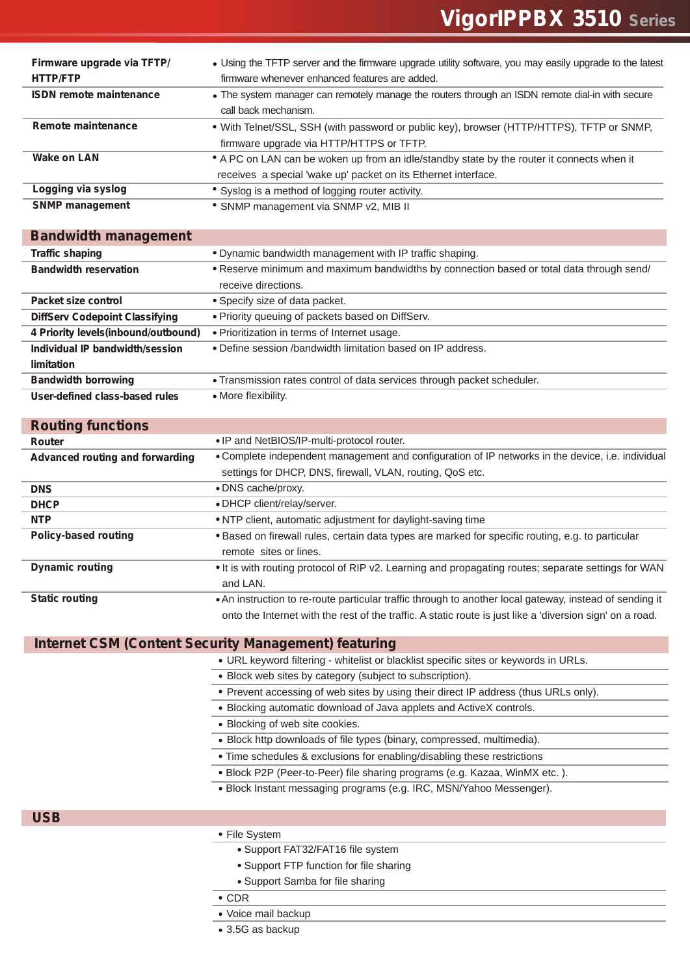| Firmware upgrade via TFTP/     | • Using the TFTP server and the firmware upgrade utility software, you may easily upgrade to the latest |
|--------------------------------|---------------------------------------------------------------------------------------------------------|
| <b>HTTP/FTP</b>                | firmware whenever enhanced features are added.                                                          |
| <b>ISDN remote maintenance</b> | • The system manager can remotely manage the routers through an ISDN remote dial-in with secure         |
|                                | call back mechanism.                                                                                    |
| Remote maintenance             | • With Telnet/SSL, SSH (with password or public key), browser (HTTP/HTTPS), TFTP or SNMP,               |
|                                | firmware upgrade via HTTP/HTTPS or TFTP.                                                                |
| <b>Wake on LAN</b>             | • A PC on LAN can be woken up from an idle/standby state by the router it connects when it              |
|                                | receives a special 'wake up' packet on its Ethernet interface.                                          |
| Logging via syslog             | • Syslog is a method of logging router activity.                                                        |
| <b>SNMP</b> management         | * SNMP management via SNMP v2, MIB II                                                                   |

| <b>Bandwidth management</b>           |                                                                                          |
|---------------------------------------|------------------------------------------------------------------------------------------|
| <b>Traffic shaping</b>                | • Dynamic bandwidth management with IP traffic shaping.                                  |
| <b>Bandwidth reservation</b>          | • Reserve minimum and maximum bandwidths by connection based or total data through send/ |
|                                       | receive directions.                                                                      |
| Packet size control                   | • Specify size of data packet.                                                           |
| <b>DiffServ Codepoint Classifying</b> | • Priority queuing of packets based on DiffServ.                                         |
| 4 Priority levels (inbound/outbound)  | • Prioritization in terms of Internet usage.                                             |
| Individual IP bandwidth/session       | • Define session /bandwidth limitation based on IP address.                              |
| limitation                            |                                                                                          |
| <b>Bandwidth borrowing</b>            | . Transmission rates control of data services through packet scheduler.                  |
| User-defined class-based rules        | • More flexibility.                                                                      |

| <b>Routing functions</b>        |                                                                                                           |
|---------------------------------|-----------------------------------------------------------------------------------------------------------|
| Router                          | • IP and NetBIOS/IP-multi-protocol router.                                                                |
| Advanced routing and forwarding | • Complete independent management and configuration of IP networks in the device, i.e. individual         |
|                                 | settings for DHCP, DNS, firewall, VLAN, routing, QoS etc.                                                 |
| <b>DNS</b>                      | • DNS cache/proxy.                                                                                        |
| <b>DHCP</b>                     | • DHCP client/relay/server.                                                                               |
| <b>NTP</b>                      | . NTP client, automatic adjustment for daylight-saving time                                               |
| <b>Policy-based routing</b>     | • Based on firewall rules, certain data types are marked for specific routing, e.g. to particular         |
|                                 | remote sites or lines.                                                                                    |
| <b>Dynamic routing</b>          | . It is with routing protocol of RIP v2. Learning and propagating routes; separate settings for WAN       |
|                                 | and LAN.                                                                                                  |
| <b>Static routing</b>           | . An instruction to re-route particular traffic through to another local gateway, instead of sending it   |
|                                 | onto the Internet with the rest of the traffic. A static route is just like a 'diversion sign' on a road. |

#### **Internet CSM (Content Security Management) featuring**

- URL keyword filtering whitelist or blacklist specific sites or keywords in URLs.
- Block web sites by category (subject to subscription).
- Prevent accessing of web sites by using their direct IP address (thus URLs only).
- Blocking automatic download of Java applets and ActiveX controls.
- Blocking of web site cookies.
- Block http downloads of file types (binary, compressed, multimedia).
- Time schedules & exclusions for enabling/disabling these restrictions
- Block P2P (Peer-to-Peer) file sharing programs (e.g. Kazaa, WinMX etc. ).
- Block Instant messaging programs (e.g. IRC, MSN/Yahoo Messenger).

**USB**

- File System
	- Support FAT32/FAT16 file system
	- Support FTP function for file sharing
	- Support Samba for file sharing
- $\overline{\cdot$  CDR
- Voice mail backup
- 3.5G as backup